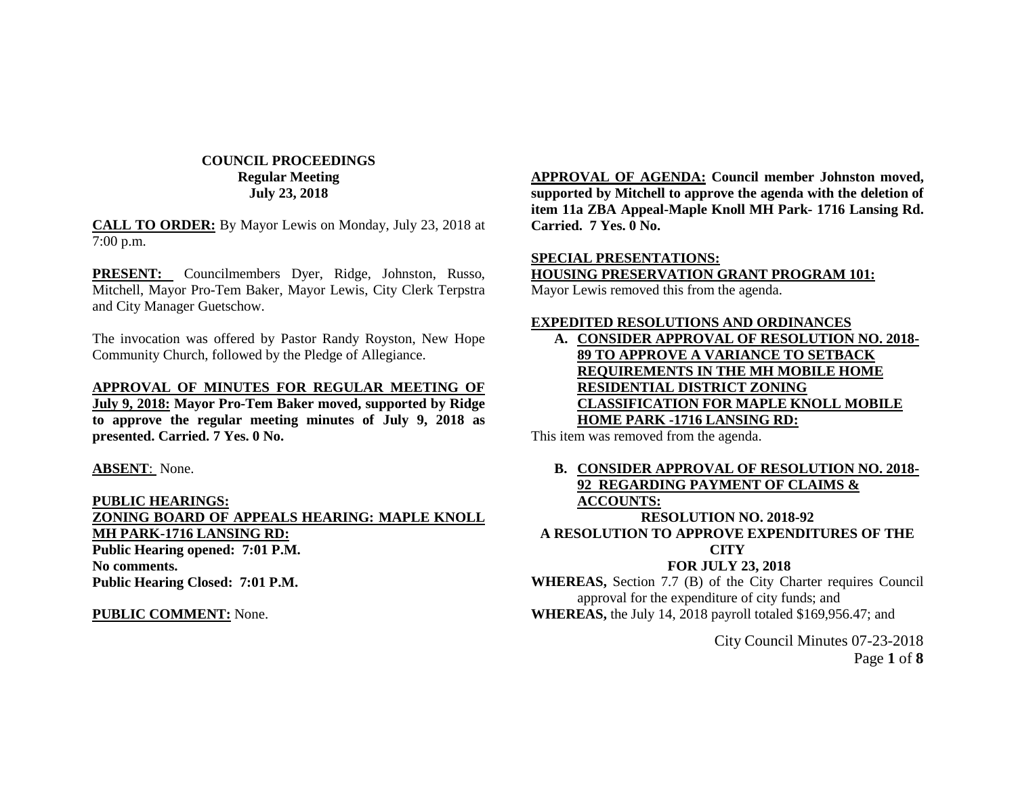# **COUNCIL PROCEEDINGS Regular Meeting July 23, 2018**

**CALL TO ORDER:** By Mayor Lewis on Monday, July 23, 2018 at 7:00 p.m.

**PRESENT:** Councilmembers Dyer, Ridge, Johnston, Russo, Mitchell, Mayor Pro-Tem Baker, Mayor Lewis, City Clerk Terpstra and City Manager Guetschow.

The invocation was offered by Pastor Randy Royston, New Hope Community Church, followed by the Pledge of Allegiance.

### **APPROVAL OF MINUTES FOR REGULAR MEETING OF**

**July 9, 2018: Mayor Pro-Tem Baker moved, supported by Ridge to approve the regular meeting minutes of July 9, 2018 as presented. Carried. 7 Yes. 0 No.**

#### **ABSENT**: None.

**PUBLIC HEARINGS: ZONING BOARD OF APPEALS HEARING: MAPLE KNOLL MH PARK-1716 LANSING RD: Public Hearing opened: 7:01 P.M. No comments. Public Hearing Closed: 7:01 P.M.**

#### **PUBLIC COMMENT:** None.

**APPROVAL OF AGENDA: Council member Johnston moved, supported by Mitchell to approve the agenda with the deletion of item 11a ZBA Appeal-Maple Knoll MH Park- 1716 Lansing Rd. Carried. 7 Yes. 0 No.**

# **SPECIAL PRESENTATIONS: HOUSING PRESERVATION GRANT PROGRAM 101:**

Mayor Lewis removed this from the agenda.

### **EXPEDITED RESOLUTIONS AND ORDINANCES**

**A. CONSIDER APPROVAL OF RESOLUTION NO. 2018- 89 TO APPROVE A VARIANCE TO SETBACK REQUIREMENTS IN THE MH MOBILE HOME RESIDENTIAL DISTRICT ZONING CLASSIFICATION FOR MAPLE KNOLL MOBILE HOME PARK -1716 LANSING RD:**

This item was removed from the agenda.

## **B. CONSIDER APPROVAL OF RESOLUTION NO. 2018- 92 REGARDING PAYMENT OF CLAIMS & ACCOUNTS: RESOLUTION NO. 2018-92 A RESOLUTION TO APPROVE EXPENDITURES OF THE**

### **CITY**

### **FOR JULY 23, 2018**

**WHEREAS,** Section 7.7 (B) of the City Charter requires Council approval for the expenditure of city funds; and **WHEREAS,** the July 14, 2018 payroll totaled \$169,956.47; and

> City Council Minutes 07-23-2018 Page **1** of **8**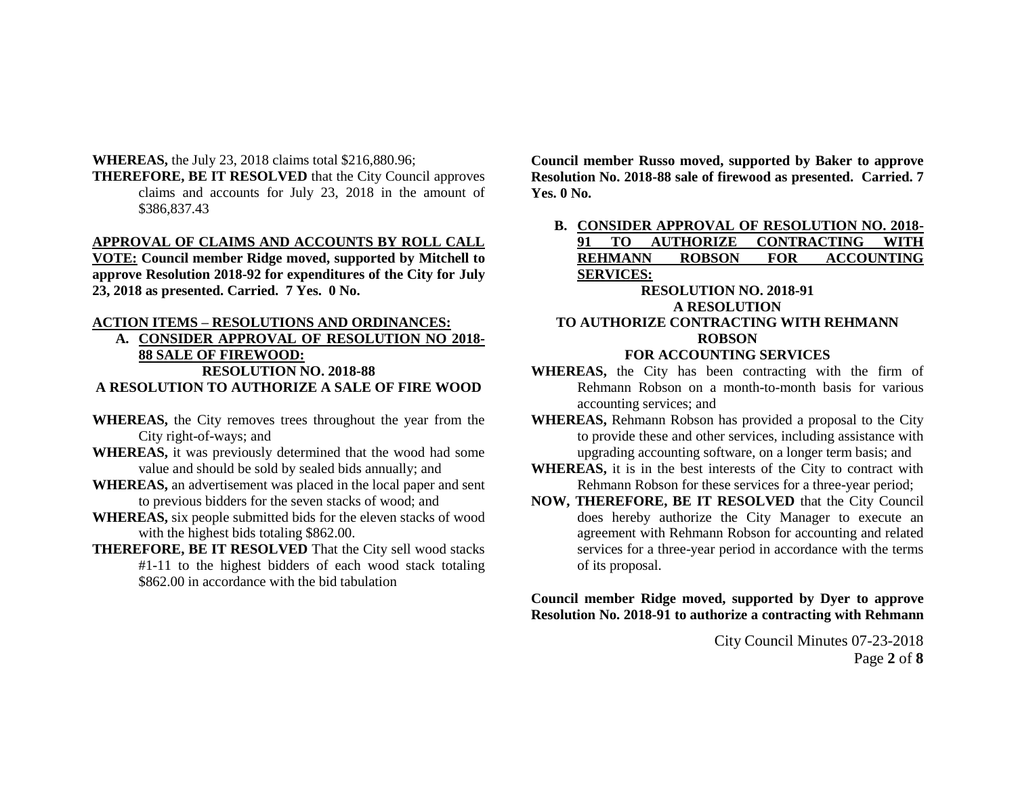**WHEREAS,** the July 23, 2018 claims total \$216,880.96;

**THEREFORE, BE IT RESOLVED** that the City Council approves claims and accounts for July 23, 2018 in the amount of \$386,837.43

### **APPROVAL OF CLAIMS AND ACCOUNTS BY ROLL CALL**

**VOTE: Council member Ridge moved, supported by Mitchell to approve Resolution 2018-92 for expenditures of the City for July 23, 2018 as presented. Carried. 7 Yes. 0 No.**

## **ACTION ITEMS – RESOLUTIONS AND ORDINANCES:**

- **A. CONSIDER APPROVAL OF RESOLUTION NO 2018- 88 SALE OF FIREWOOD: RESOLUTION NO. 2018-88 A RESOLUTION TO AUTHORIZE A SALE OF FIRE WOOD**
- **WHEREAS,** the City removes trees throughout the year from the City right-of-ways; and
- **WHEREAS,** it was previously determined that the wood had some value and should be sold by sealed bids annually; and
- **WHEREAS,** an advertisement was placed in the local paper and sent to previous bidders for the seven stacks of wood; and
- **WHEREAS,** six people submitted bids for the eleven stacks of wood with the highest bids totaling \$862.00.
- **THEREFORE, BE IT RESOLVED** That the City sell wood stacks #1-11 to the highest bidders of each wood stack totaling \$862.00 in accordance with the bid tabulation

**Council member Russo moved, supported by Baker to approve Resolution No. 2018-88 sale of firewood as presented. Carried. 7 Yes. 0 No.**

**B. CONSIDER APPROVAL OF RESOLUTION NO. 2018- 91 TO AUTHORIZE CONTRACTING WITH REHMANN ROBSON FOR ACCOUNTING SERVICES:**

### **RESOLUTION NO. 2018-91 A RESOLUTION TO AUTHORIZE CONTRACTING WITH REHMANN ROBSON FOR ACCOUNTING SERVICES**

- **WHEREAS,** the City has been contracting with the firm of Rehmann Robson on a month-to-month basis for various accounting services; and
- **WHEREAS,** Rehmann Robson has provided a proposal to the City to provide these and other services, including assistance with upgrading accounting software, on a longer term basis; and
- **WHEREAS,** it is in the best interests of the City to contract with Rehmann Robson for these services for a three-year period;
- **NOW, THEREFORE, BE IT RESOLVED** that the City Council does hereby authorize the City Manager to execute an agreement with Rehmann Robson for accounting and related services for a three-year period in accordance with the terms of its proposal.

# **Council member Ridge moved, supported by Dyer to approve Resolution No. 2018-91 to authorize a contracting with Rehmann**

City Council Minutes 07-23-2018 Page **2** of **8**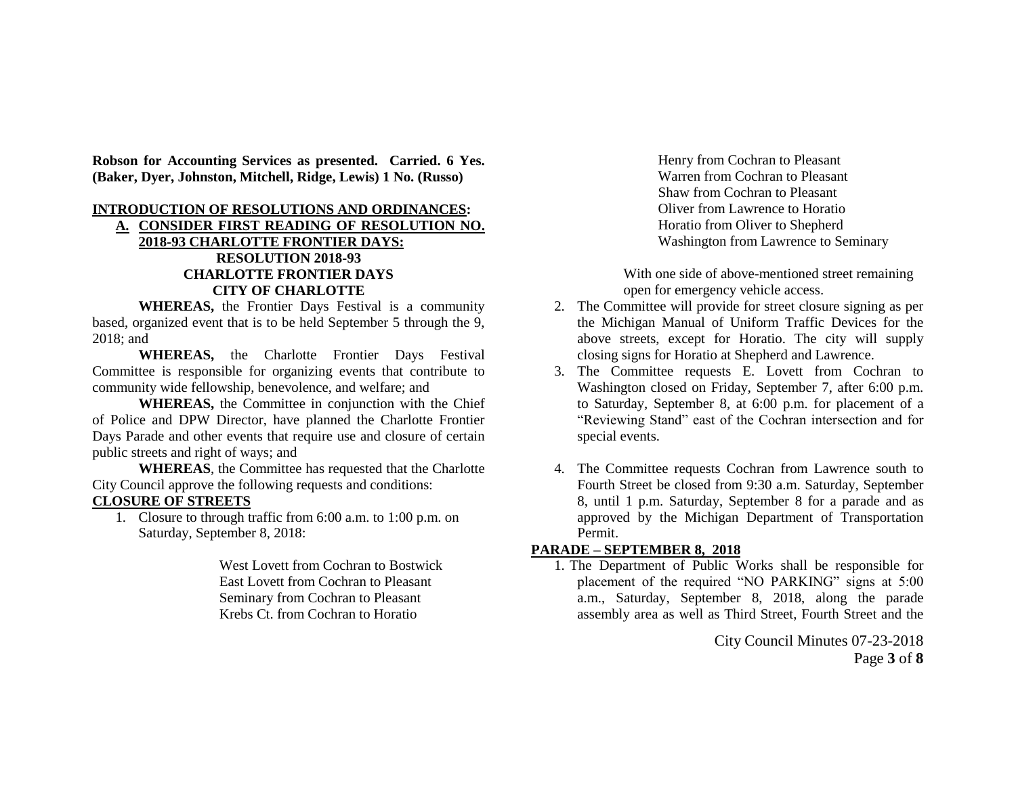**Robson for Accounting Services as presented. Carried. 6 Yes. (Baker, Dyer, Johnston, Mitchell, Ridge, Lewis) 1 No. (Russo)**

#### **INTRODUCTION OF RESOLUTIONS AND ORDINANCES:**

# **A. CONSIDER FIRST READING OF RESOLUTION NO. 2018-93 CHARLOTTE FRONTIER DAYS: RESOLUTION 2018-93 CHARLOTTE FRONTIER DAYS CITY OF CHARLOTTE**

**WHEREAS,** the Frontier Days Festival is a community based, organized event that is to be held September 5 through the 9, 2018; and

**WHEREAS,** the Charlotte Frontier Days Festival Committee is responsible for organizing events that contribute to community wide fellowship, benevolence, and welfare; and

**WHEREAS,** the Committee in conjunction with the Chief of Police and DPW Director, have planned the Charlotte Frontier Days Parade and other events that require use and closure of certain public streets and right of ways; and

**WHEREAS**, the Committee has requested that the Charlotte City Council approve the following requests and conditions:

### **CLOSURE OF STREETS**

1. Closure to through traffic from 6:00 a.m. to 1:00 p.m. on Saturday, September 8, 2018:

> West Lovett from Cochran to Bostwick East Lovett from Cochran to Pleasant Seminary from Cochran to Pleasant Krebs Ct. from Cochran to Horatio

Henry from Cochran to Pleasant Warren from Cochran to Pleasant Shaw from Cochran to Pleasant Oliver from Lawrence to Horatio Horatio from Oliver to Shepherd Washington from Lawrence to Seminary

With one side of above-mentioned street remaining open for emergency vehicle access.

- 2. The Committee will provide for street closure signing as per the Michigan Manual of Uniform Traffic Devices for the above streets, except for Horatio. The city will supply closing signs for Horatio at Shepherd and Lawrence.
- 3. The Committee requests E. Lovett from Cochran to Washington closed on Friday, September 7, after 6:00 p.m. to Saturday, September 8, at 6:00 p.m. for placement of a "Reviewing Stand" east of the Cochran intersection and for special events.
- 4. The Committee requests Cochran from Lawrence south to Fourth Street be closed from 9:30 a.m. Saturday, September 8, until 1 p.m. Saturday, September 8 for a parade and as approved by the Michigan Department of Transportation Permit.

### **PARADE – SEPTEMBER 8, 2018**

1. The Department of Public Works shall be responsible for placement of the required "NO PARKING" signs at 5:00 a.m., Saturday, September 8, 2018, along the parade assembly area as well as Third Street, Fourth Street and the

> City Council Minutes 07-23-2018 Page **3** of **8**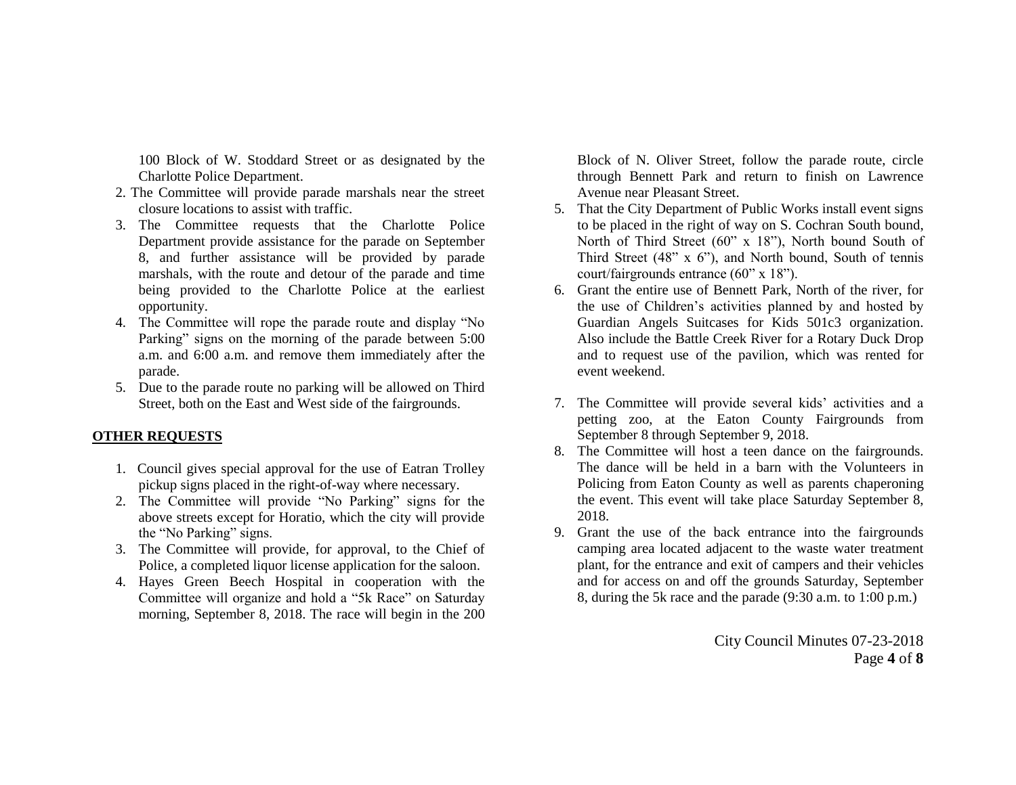100 Block of W. Stoddard Street or as designated by the Charlotte Police Department.

- 2. The Committee will provide parade marshals near the street closure locations to assist with traffic.
- 3. The Committee requests that the Charlotte Police Department provide assistance for the parade on September 8, and further assistance will be provided by parade marshals, with the route and detour of the parade and time being provided to the Charlotte Police at the earliest opportunity.
- 4. The Committee will rope the parade route and display "No Parking" signs on the morning of the parade between 5:00 a.m. and 6:00 a.m. and remove them immediately after the parade.
- 5. Due to the parade route no parking will be allowed on Third Street, both on the East and West side of the fairgrounds.

# **OTHER REQUESTS**

- 1. Council gives special approval for the use of Eatran Trolley pickup signs placed in the right-of-way where necessary.
- 2. The Committee will provide "No Parking" signs for the above streets except for Horatio, which the city will provide the "No Parking" signs.
- 3. The Committee will provide, for approval, to the Chief of Police, a completed liquor license application for the saloon.
- 4. Hayes Green Beech Hospital in cooperation with the Committee will organize and hold a "5k Race" on Saturday morning, September 8, 2018. The race will begin in the 200

Block of N. Oliver Street, follow the parade route, circle through Bennett Park and return to finish on Lawrence Avenue near Pleasant Street.

- 5. That the City Department of Public Works install event signs to be placed in the right of way on S. Cochran South bound, North of Third Street (60" x 18"), North bound South of Third Street (48" x 6"), and North bound, South of tennis court/fairgrounds entrance (60" x 18").
- 6. Grant the entire use of Bennett Park, North of the river, for the use of Children's activities planned by and hosted by Guardian Angels Suitcases for Kids 501c3 organization. Also include the Battle Creek River for a Rotary Duck Drop and to request use of the pavilion, which was rented for event weekend.
- 7. The Committee will provide several kids' activities and a petting zoo, at the Eaton County Fairgrounds from September 8 through September 9, 2018.
- 8. The Committee will host a teen dance on the fairgrounds. The dance will be held in a barn with the Volunteers in Policing from Eaton County as well as parents chaperoning the event. This event will take place Saturday September 8, 2018.
- 9. Grant the use of the back entrance into the fairgrounds camping area located adjacent to the waste water treatment plant, for the entrance and exit of campers and their vehicles and for access on and off the grounds Saturday, September 8, during the 5k race and the parade (9:30 a.m. to 1:00 p.m.)

City Council Minutes 07-23-2018 Page **4** of **8**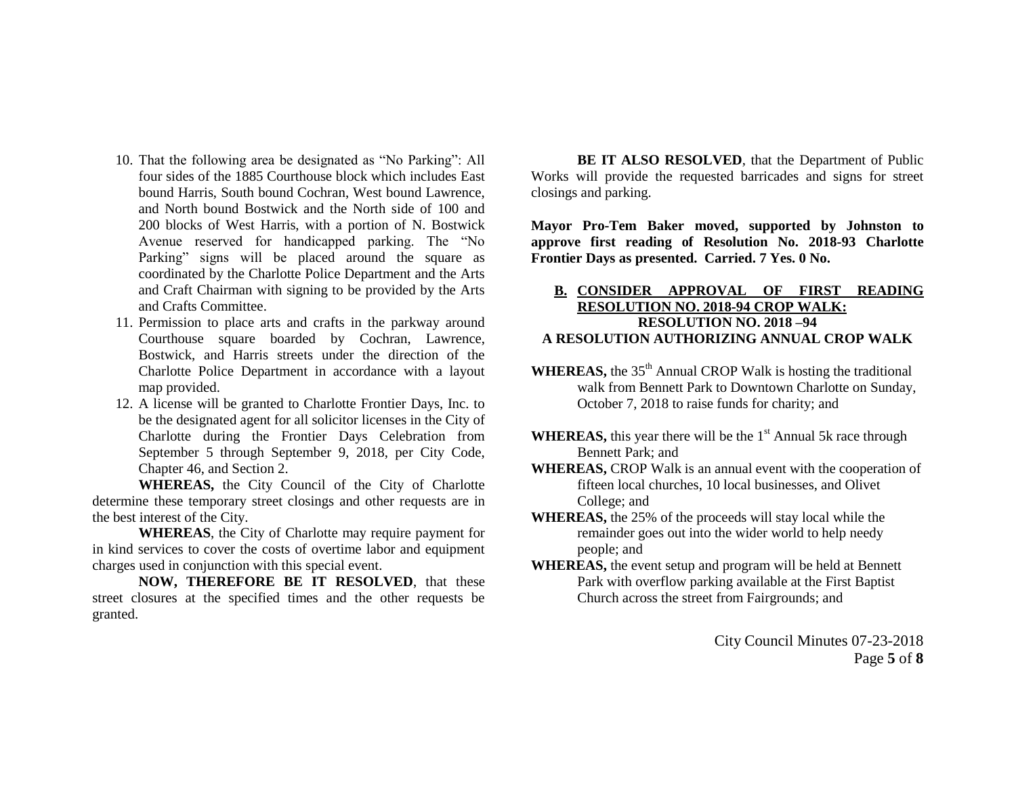- 10. That the following area be designated as "No Parking": All four sides of the 1885 Courthouse block which includes East bound Harris, South bound Cochran, West bound Lawrence, and North bound Bostwick and the North side of 100 and 200 blocks of West Harris, with a portion of N. Bostwick Avenue reserved for handicapped parking. The "No Parking" signs will be placed around the square as coordinated by the Charlotte Police Department and the Arts and Craft Chairman with signing to be provided by the Arts and Crafts Committee.
- 11. Permission to place arts and crafts in the parkway around Courthouse square boarded by Cochran, Lawrence, Bostwick, and Harris streets under the direction of the Charlotte Police Department in accordance with a layout map provided.
- 12. A license will be granted to Charlotte Frontier Days, Inc. to be the designated agent for all solicitor licenses in the City of Charlotte during the Frontier Days Celebration from September 5 through September 9, 2018, per City Code, Chapter 46, and Section 2.

**WHEREAS,** the City Council of the City of Charlotte determine these temporary street closings and other requests are in the best interest of the City.

**WHEREAS**, the City of Charlotte may require payment for in kind services to cover the costs of overtime labor and equipment charges used in conjunction with this special event.

**NOW, THEREFORE BE IT RESOLVED**, that these street closures at the specified times and the other requests be granted.

**BE IT ALSO RESOLVED**, that the Department of Public Works will provide the requested barricades and signs for street closings and parking.

**Mayor Pro-Tem Baker moved, supported by Johnston to approve first reading of Resolution No. 2018-93 Charlotte Frontier Days as presented. Carried. 7 Yes. 0 No.**

### **B. CONSIDER APPROVAL OF FIRST READING RESOLUTION NO. 2018-94 CROP WALK: RESOLUTION NO. 2018 –94 A RESOLUTION AUTHORIZING ANNUAL CROP WALK**

- WHEREAS, the 35<sup>th</sup> Annual CROP Walk is hosting the traditional walk from Bennett Park to Downtown Charlotte on Sunday, October 7, 2018 to raise funds for charity; and
- **WHEREAS,** this year there will be the 1<sup>st</sup> Annual 5k race through Bennett Park; and
- **WHEREAS,** CROP Walk is an annual event with the cooperation of fifteen local churches, 10 local businesses, and Olivet College; and
- **WHEREAS,** the 25% of the proceeds will stay local while the remainder goes out into the wider world to help needy people; and
- **WHEREAS,** the event setup and program will be held at Bennett Park with overflow parking available at the First Baptist Church across the street from Fairgrounds; and

City Council Minutes 07-23-2018 Page **5** of **8**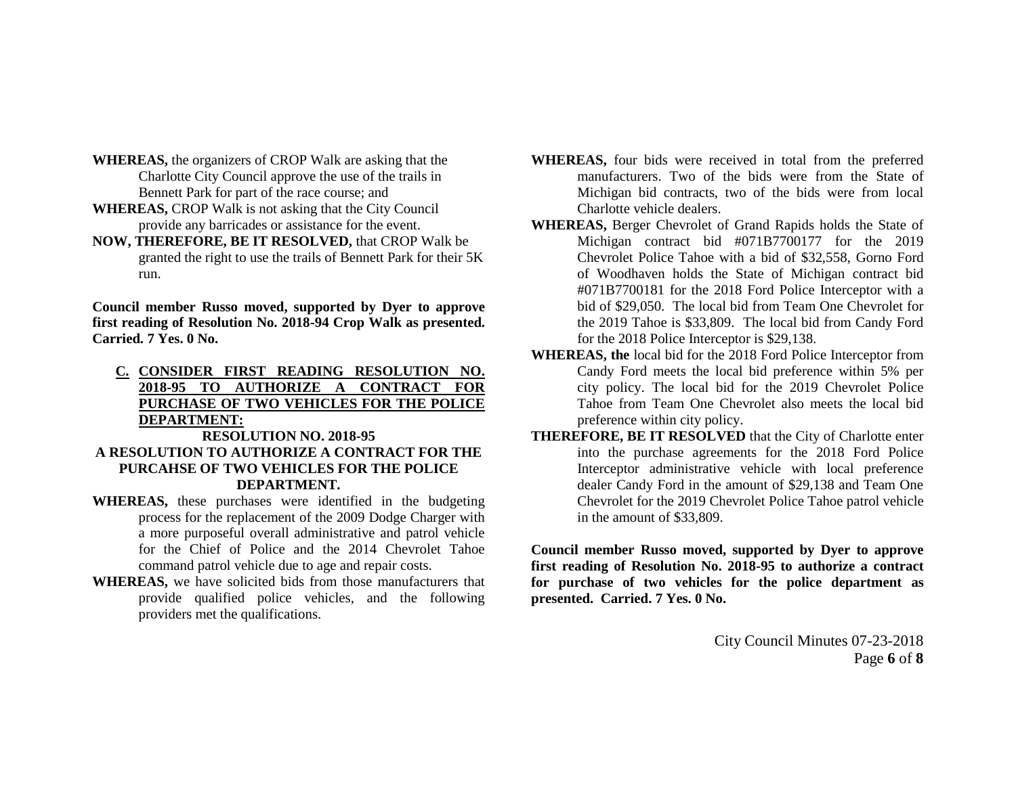- **WHEREAS,** the organizers of CROP Walk are asking that the Charlotte City Council approve the use of the trails in Bennett Park for part of the race course; and
- **WHEREAS,** CROP Walk is not asking that the City Council provide any barricades or assistance for the event.
- **NOW, THEREFORE, BE IT RESOLVED,** that CROP Walk be granted the right to use the trails of Bennett Park for their 5K run.

**Council member Russo moved, supported by Dyer to approve first reading of Resolution No. 2018-94 Crop Walk as presented. Carried. 7 Yes. 0 No.**

**C. CONSIDER FIRST READING RESOLUTION NO. 2018-95 TO AUTHORIZE A CONTRACT FOR PURCHASE OF TWO VEHICLES FOR THE POLICE DEPARTMENT:**

### **RESOLUTION NO. 2018-95 A RESOLUTION TO AUTHORIZE A CONTRACT FOR THE PURCAHSE OF TWO VEHICLES FOR THE POLICE DEPARTMENT.**

- **WHEREAS,** these purchases were identified in the budgeting process for the replacement of the 2009 Dodge Charger with a more purposeful overall administrative and patrol vehicle for the Chief of Police and the 2014 Chevrolet Tahoe command patrol vehicle due to age and repair costs.
- **WHEREAS,** we have solicited bids from those manufacturers that provide qualified police vehicles, and the following providers met the qualifications.
- **WHEREAS,** four bids were received in total from the preferred manufacturers. Two of the bids were from the State of Michigan bid contracts, two of the bids were from local Charlotte vehicle dealers.
- **WHEREAS,** Berger Chevrolet of Grand Rapids holds the State of Michigan contract bid #071B7700177 for the 2019 Chevrolet Police Tahoe with a bid of \$32,558, Gorno Ford of Woodhaven holds the State of Michigan contract bid #071B7700181 for the 2018 Ford Police Interceptor with a bid of \$29,050. The local bid from Team One Chevrolet for the 2019 Tahoe is \$33,809. The local bid from Candy Ford for the 2018 Police Interceptor is \$29,138.
- **WHEREAS, the** local bid for the 2018 Ford Police Interceptor from Candy Ford meets the local bid preference within 5% per city policy. The local bid for the 2019 Chevrolet Police Tahoe from Team One Chevrolet also meets the local bid preference within city policy.
- **THEREFORE, BE IT RESOLVED** that the City of Charlotte enter into the purchase agreements for the 2018 Ford Police Interceptor administrative vehicle with local preference dealer Candy Ford in the amount of \$29,138 and Team One Chevrolet for the 2019 Chevrolet Police Tahoe patrol vehicle in the amount of \$33,809.

**Council member Russo moved, supported by Dyer to approve first reading of Resolution No. 2018-95 to authorize a contract for purchase of two vehicles for the police department as presented. Carried. 7 Yes. 0 No.**

> City Council Minutes 07-23-2018 Page **6** of **8**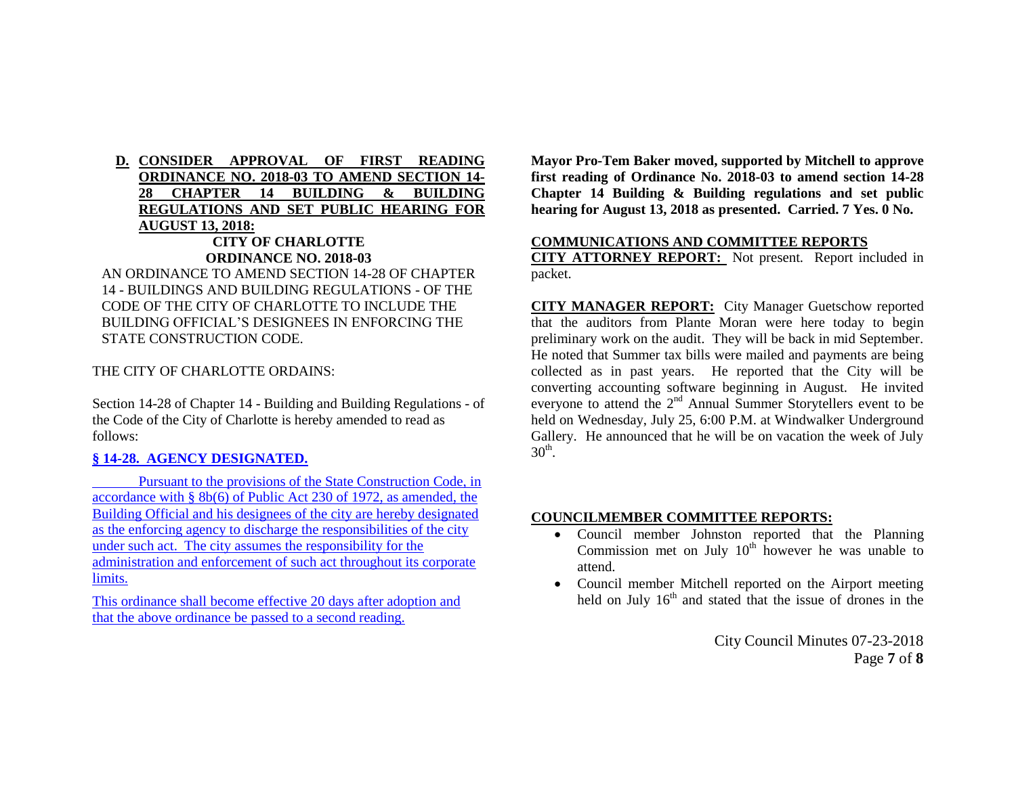# **D. CONSIDER APPROVAL OF FIRST READING ORDINANCE NO. 2018-03 TO AMEND SECTION 14- 28 CHAPTER 14 BUILDING & BUILDING REGULATIONS AND SET PUBLIC HEARING FOR AUGUST 13, 2018: CITY OF CHARLOTTE**

## **ORDINANCE NO. 2018-03**

AN ORDINANCE TO AMEND SECTION 14-28 OF CHAPTER 14 - BUILDINGS AND BUILDING REGULATIONS - OF THE CODE OF THE CITY OF CHARLOTTE TO INCLUDE THE BUILDING OFFICIAL'S DESIGNEES IN ENFORCING THE STATE CONSTRUCTION CODE.

THE CITY OF CHARLOTTE ORDAINS:

Section 14-28 of Chapter 14 - Building and Building Regulations - of the Code of the City of Charlotte is hereby amended to read as follows:

# **§ 14-28. AGENCY DESIGNATED.**

Pursuant to the provisions of the State Construction Code, in accordance with § 8b(6) of Public Act 230 of 1972, as amended, the Building Official and his designees of the city are hereby designated as the enforcing agency to discharge the responsibilities of the city under such act. The city assumes the responsibility for the administration and enforcement of such act throughout its corporate limits.

This ordinance shall become effective 20 days after adoption and that the above ordinance be passed to a second reading.

**Mayor Pro-Tem Baker moved, supported by Mitchell to approve first reading of Ordinance No. 2018-03 to amend section 14-28 Chapter 14 Building & Building regulations and set public hearing for August 13, 2018 as presented. Carried. 7 Yes. 0 No.**

## **COMMUNICATIONS AND COMMITTEE REPORTS**

**CITY ATTORNEY REPORT:** Not present. Report included in packet.

**CITY MANAGER REPORT:** City Manager Guetschow reported that the auditors from Plante Moran were here today to begin preliminary work on the audit. They will be back in mid September. He noted that Summer tax bills were mailed and payments are being collected as in past years. He reported that the City will be converting accounting software beginning in August. He invited everyone to attend the 2<sup>nd</sup> Annual Summer Storytellers event to be held on Wednesday, July 25, 6:00 P.M. at Windwalker Underground Gallery. He announced that he will be on vacation the week of July  $30<sup>th</sup>$ .

### **COUNCILMEMBER COMMITTEE REPORTS:**

- Council member Johnston reported that the Planning Commission met on July  $10<sup>th</sup>$  however he was unable to attend.
- Council member Mitchell reported on the Airport meeting held on July  $16<sup>th</sup>$  and stated that the issue of drones in the

City Council Minutes 07-23-2018 Page **7** of **8**